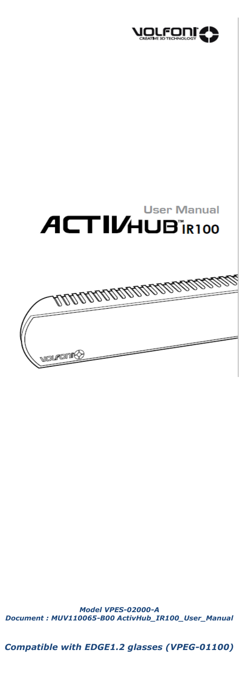



*Model VPES-02000-A Document : MUV110065-B00 ActivHub\_IR100\_User\_Manual*

*Compatible with EDGE1.2 glasses (VPEG-01100)*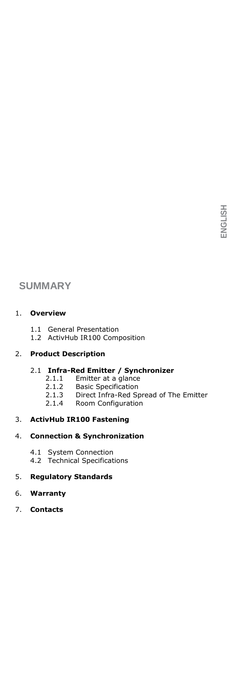# **SUMMARY**

## 1. **Overview**

- 1.1 General Presentation<br>1.2 ActivHub IR100 Com
- ActivHub IR100 Composition

## 2. **Product Description**

- 2.1 **Infra-Red Emitter / Synchronizer**
	- 2.1.1 Emitter at a glance<br>2.1.2 Basic Specification
	- 2.1.2 Basic Specification<br>2.1.3 Direct Infra-Red Sp
	- 2.1.3 Direct Infra-Red Spread of The Emitter<br>2.1.4 Room Configuration
		- Room Configuration

## 3. **ActivHub IR100 Fastening**

### 4. **Connection & Synchronization**

- 4.1 System Connection
- 4.2 Technical Specifications

## 5. **Regulatory Standards**

### 6. **Warranty**

7. **Contacts**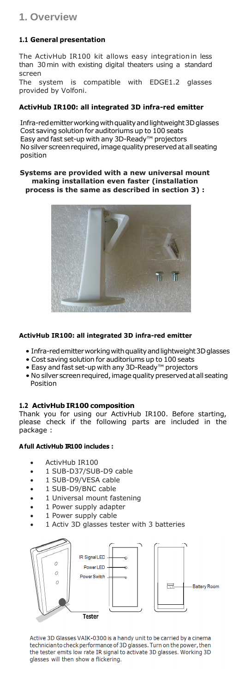# **1. Overview**

# **1.1 General presentation**

The ActivHub IR100 kit allows easy integrationin less than 30min with existing digital theaters using a standard screen

The system is compatible with EDGE1.2 glasses provided by Volfoni.

## **ActivHub IR100: all integrated 3D infra-red emitter**

Infra-redemitterworkingwithqualityandlightweight3Dglasses Cost saving solution for auditoriums up to 100 seats Easy and fast set-up with any 3D-Ready™ projectors No silver screen required, image quality preserved at all seating position

**Systems are provided with a new universal mount making installation even faster (installation process is the same as described in section 3) :**



# **ActivHub IR100: all integrated 3D infra-red emitter**

- Infra-red emitter working with quality and lightweight 3D glasses
- Cost saving solution for auditoriums up to 100 seats
- Easy and fast set-up with any 3D-Ready™ projectors
- No silver screen required, image quality preserved at all seating Position

# **1.2 ActivHub IR100 composition**

Thank you for using our ActivHub IR100. Before starting, please check if the following parts are included in the package :

# **Afull ActivHub IR100 includes :**

- ActivHub IR100
- 1 SUB-D37/SUB-D9 cable
- 1 SUB-D9/VESA cable
- 1 SUB-D9/BNC cable
- 1 Universal mount fastening
- 1 Power supply adapter
- 1 Power supply cable
- 1 Activ 3D glasses tester with 3 batteries



Active 3D Glasses VAIK-0300 is a handy unit to be carried by a cinema technician to check performance of 3D glasses. Turn on the power, then the tester emits low rate IR signal to activate 3D glasses. Working 3D glasses will then show a flickering.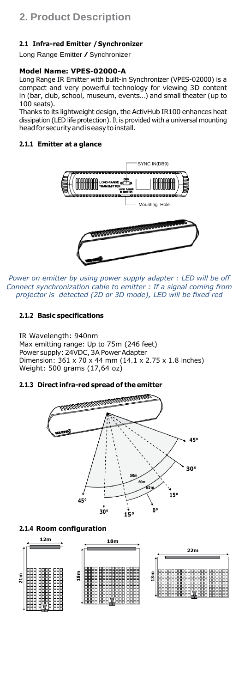## **2.1 Infra-red Emitter /Synchronizer**

Long Range Emitter / Synchronizer

## **Model Name: VPES-02000-A**

Long Range IR Emitter with built-in Synchronizer (VPES-02000) is a compact and very powerful technology for viewing 3D content in (bar, club, school, museum, events…) and small theater (up to 100 seats).

Thanks to its lightweight design, the ActivHub IR100 enhances heat dissipation (LED life protection). It is provided with a universal mounting head for security and is easy to install.

### **2.1.1 Emitter at a glance**



*Power on emitter by using power supply adapter : LED will be off Connect synchronization cable to emitter : If a signal coming from projector is detected (2D or 3D mode), LED will be fixed red*

## **2.1.2 Basic specifications**

IR Wavelength: 940nm Max emitting range: Up to 75m (246 feet) Power supply: 24VDC, 3A Power Adapter Dimension: 361 x 70 x 44 mm (14.1 x 2.75 x 1.8 inches) Weight: 500 grams (17,64 oz)

## **2.1.3 Direct infra-red spread of the emitter**



#### **2.1.4 Room configuration**

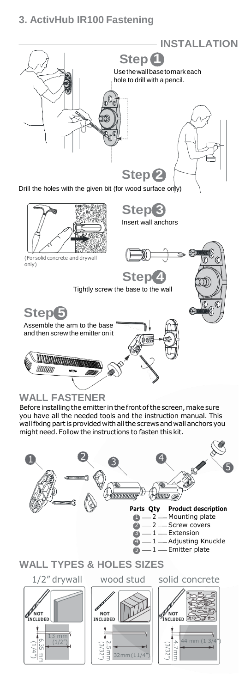# **3. ActivHub IR100 Fastening**



Before installing the emitter in the front of the screen, make sure you have all the needed tools and the instruction manual. This wall fixing part is provided with all the screws and wall anchors you might need. Follow the instructions to fasten this kit.

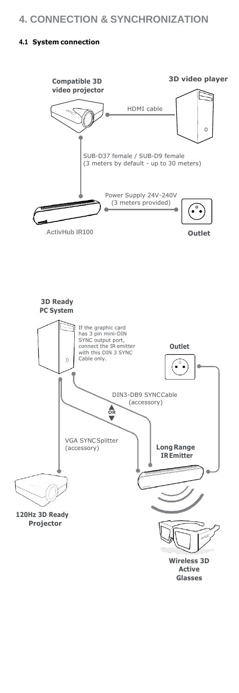# **4. CONNECTION & SYNCHRONIZATION**

## **4.1 System connection**

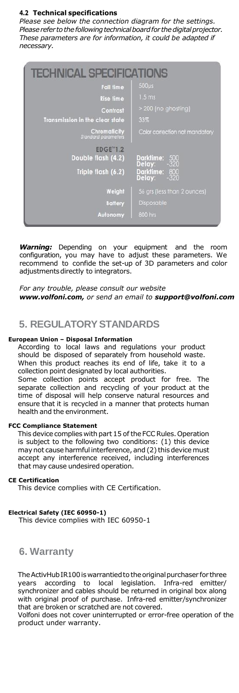### **4.2 Technical specifications**

*Please see below the connection diagram for the settings. Please refer to the following technical board for the digital projector. These parameters are for information, it could be adapted if necessary.*

| <b>TECHNICAL SPECIFICATIONS</b>            |                                        |
|--------------------------------------------|----------------------------------------|
| <b>Fall time</b>                           | $500µ$ s                               |
| <b>Rise time</b>                           | 1.5 <sub>ms</sub>                      |
| Contrast                                   | > 200 (no ghosting)                    |
| <b>Transmission in the clear state</b>     | 33%                                    |
| Chromaticity<br><b>Standard parameters</b> | Color correction not mandatory         |
| <b>EDGE</b> "1.2<br>Double flash (4.2)     | 500<br>320<br>Darktime:<br>Delay:      |
| Triple flash (6.2)                         | Darktime: 800<br>Delay: -320<br>Delay: |
| Weight                                     | 56 grs (less than 2 ounces)            |
| <b>Battery</b>                             | Disposable                             |
| Autonomy                                   | 800 hrs                                |

*Warning:* Depending on your equipment and the room configuration, you may have to adjust these parameters. We recommend to confide the set-up of 3D parameters and color adjustmentsdirectly to integrators.

*For any trouble, please consult our website [www.volfoni.com,](http://www.volfoni.com/) or send an email to [support@volfoni.com](mailto:support@volfoni.com)*

## **5. REGULATORYSTANDARDS**

#### **European Union – Disposal Information**

According to local laws and regulations your product should be disposed of separately from household waste. When this product reaches its end of life, take it to a collection point designated by local authorities.

Some collection points accept product for free. The separate collection and recycling of your product at the time of disposal will help conserve natural resources and ensure that it is recycled in a manner that protects human health and the environment.

#### **FCC Compliance Statement**

This device complies with part 15 of the FCC Rules. Operation is subject to the following two conditions: (1) this device may not cause harmful interference, and (2) this device must accept any interference received, including interferences that may cause undesired operation.

#### **CE Certification**

This device complies with CE Certification.

#### **Electrical Safety (IEC 60950-1)**

This device complies with IEC 60950-1

## **6. Warranty**

The ActivHub IR100 is warrantied to the original purchaser for three years according to local legislation. Infra-red emitter/ synchronizer and cables should be returned in original box along with original proof of purchase. Infra-red emitter/synchronizer that are broken or scratched are not covered.

Volfoni does not cover uninterrupted or error-free operation of the product under warranty.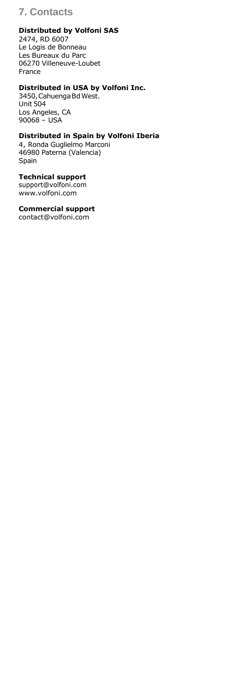# **7. Contacts**

## **Distributed by Volfoni SAS**

2474, RD 6007 Le Logis de Bonneau Les Bureaux du Parc 06270 Villeneuve-Loubet France

## **Distributed in USA by Volfoni Inc.**

3450, Cahuenga Bd West. Unit 504 Los Angeles, CA 90068 – USA

## **Distributed in Spain by Volfoni Iberia**

4, Ronda Guglielmo Marconi 46980 Paterna (Valencia) Spain

## **Technical support**

[support@volfoni.com](mailto:support@volfoni.com) [www.volfoni.com](http://www.volfoni.com/)

**Commercial support**

[contact@volfoni.com](mailto:contact@volfoni.com)